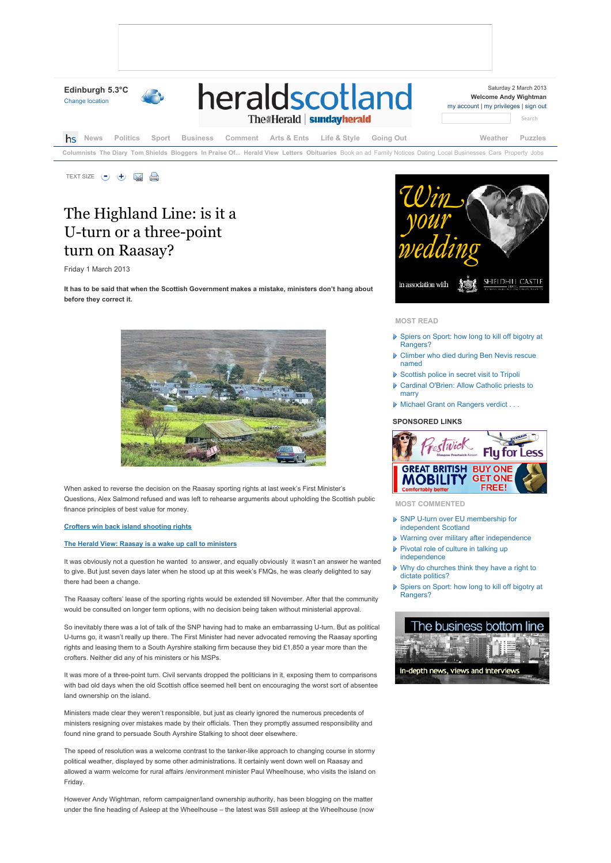

# The Highland Line: is it a U-turn or a three-point turn on Raasay?

Friday 1 March 2013

**It has to be said that when the Scottish Government makes a mistake, ministers don't hang about before they correct it.**



When asked to reverse the decision on the Raasay sporting rights at last week's First Minister's Questions, Alex Salmond refused and was left to rehearse arguments about upholding the Scottish public finance principles of best value for money.

## **Crofters win back island shooting rights**

## **The Herald View: Raasay is a wake up call to ministers**

It was obviously not a question he wanted to answer, and equally obviously it wasn't an answer he wanted to give. But just seven days later when he stood up at this week's FMQs, he was clearly delighted to say there had been a change.

The Raasay cofters' lease of the sporting rights would be extended till November. After that the community would be consulted on longer term options, with no decision being taken without ministerial approval.

So inevitably there was a lot of talk of the SNP having had to make an embarrassing U-turn. But as political U-turns go, it wasn't really up there. The First Minister had never advocated removing the Raasay sporting rights and leasing them to a South Ayrshire stalking firm because they bid £1,850 a year more than the crofters. Neither did any of his ministers or his MSPs.

It was more of a three-point turn. Civil servants dropped the politicians in it, exposing them to comparisons with bad old days when the old Scottish office seemed hell bent on encouraging the worst sort of absentee land ownership on the island.

Ministers made clear they weren't responsible, but just as clearly ignored the numerous precedents of ministers resigning over mistakes made by their officials. Then they promptly assumed responsibility and found nine grand to persuade South Ayrshire Stalking to shoot deer elsewhere.

The speed of resolution was a welcome contrast to the tanker-like approach to changing course in stormy political weather, displayed by some other administrations. It certainly went down well on Raasay and allowed a warm welcome for rural affairs /environment minister Paul Wheelhouse, who visits the island on Friday.

However Andy Wightman, reform campaigner/land ownership authority, has been blogging on the matter under the fine heading of Asleep at the Wheelhouse – the latest was Still asleep at the Wheelhouse (now



# **MOST READ**

- ▶ Spiers on Sport: how long to kill off bigotry at Rangers?
- ▶ Climber who died during Ben Nevis rescue named
- ▶ Scottish police in secret visit to Tripoli
- Cardinal O'Brien: Allow Catholic priests to marry
- Michael Grant on Rangers verdict . . .

#### **SPONSORED LINKS**



**MOST COMMENTED**

- ▶ SNP U-turn over EU membership for independent Scotland
- Warning over military after independence Pivotal role of culture in talking up
- independence ▶ Why do churches think they have a right to
- dictate politics?
- ▶ Spiers on Sport: how long to kill off bigotry at Rangers?

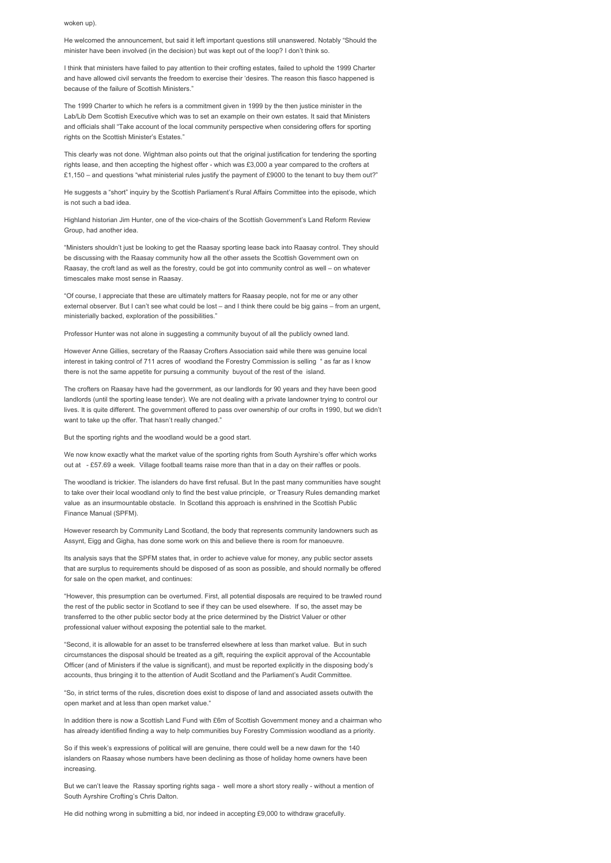woken up).

He welcomed the announcement, but said it left important questions still unanswered. Notably "Should the minister have been involved (in the decision) but was kept out of the loop? I don't think so.

I think that ministers have failed to pay attention to their crofting estates, failed to uphold the 1999 Charter and have allowed civil servants the freedom to exercise their 'desires. The reason this fiasco happened is because of the failure of Scottish Ministers."

The 1999 Charter to which he refers is a commitment given in 1999 by the then justice minister in the Lab/Lib Dem Scottish Executive which was to set an example on their own estates. It said that Ministers and officials shall "Take account of the local community perspective when considering offers for sporting rights on the Scottish Minister's Estates."

This clearly was not done. Wightman also points out that the original justification for tendering the sporting rights lease, and then accepting the highest offer - which was £3,000 a year compared to the crofters at £1,150 – and questions "what ministerial rules justify the payment of £9000 to the tenant to buy them out?"

He suggests a "short" inquiry by the Scottish Parliament's Rural Affairs Committee into the episode, which is not such a bad idea.

Highland historian Jim Hunter, one of the vice-chairs of the Scottish Government's Land Reform Review Group, had another idea.

"Ministers shouldn't just be looking to get the Raasay sporting lease back into Raasay control. They should be discussing with the Raasay community how all the other assets the Scottish Government own on Raasay, the croft land as well as the forestry, could be got into community control as well – on whatever timescales make most sense in Raasay.

"Of course, I appreciate that these are ultimately matters for Raasay people, not for me or any other external observer. But I can't see what could be lost – and I think there could be big gains – from an urgent, ministerially backed, exploration of the possibilities."

Professor Hunter was not alone in suggesting a community buyout of all the publicly owned land.

However Anne Gillies, secretary of the Raasay Crofters Association said while there was genuine local interest in taking control of 711 acres of woodland the Forestry Commission is selling " as far as I know there is not the same appetite for pursuing a community buyout of the rest of the island.

The crofters on Raasay have had the government, as our landlords for 90 years and they have been good landlords (until the sporting lease tender). We are not dealing with a private landowner trying to control our lives. It is quite different. The government offered to pass over ownership of our crofts in 1990, but we didn't want to take up the offer. That hasn't really changed."

But the sporting rights and the woodland would be a good start.

We now know exactly what the market value of the sporting rights from South Ayrshire's offer which works out at - £57.69 a week. Village football teams raise more than that in a day on their raffles or pools.

The woodland is trickier. The islanders do have first refusal. But In the past many communities have sought to take over their local woodland only to find the best value principle, or Treasury Rules demanding market value as an insurmountable obstacle. In Scotland this approach is enshrined in the Scottish Public Finance Manual (SPFM).

However research by Community Land Scotland, the body that represents community landowners such as Assynt, Eigg and Gigha, has done some work on this and believe there is room for manoeuvre.

Its analysis says that the SPFM states that, in order to achieve value for money, any public sector assets that are surplus to requirements should be disposed of as soon as possible, and should normally be offered for sale on the open market, and continues:

"However, this presumption can be overturned. First, all potential disposals are required to be trawled round the rest of the public sector in Scotland to see if they can be used elsewhere. If so, the asset may be transferred to the other public sector body at the price determined by the District Valuer or other professional valuer without exposing the potential sale to the market.

"Second, it is allowable for an asset to be transferred elsewhere at less than market value. But in such circumstances the disposal should be treated as a gift, requiring the explicit approval of the Accountable Officer (and of Ministers if the value is significant), and must be reported explicitly in the disposing body's accounts, thus bringing it to the attention of Audit Scotland and the Parliament's Audit Committee.

"So, in strict terms of the rules, discretion does exist to dispose of land and associated assets outwith the open market and at less than open market value."

In addition there is now a Scottish Land Fund with £6m of Scottish Government money and a chairman who has already identified finding a way to help communities buy Forestry Commission woodland as a priority.

So if this week's expressions of political will are genuine, there could well be a new dawn for the 140 islanders on Raasay whose numbers have been declining as those of holiday home owners have been increasing.

But we can't leave the Rassay sporting rights saga - well more a short story really - without a mention of South Ayrshire Crofting's Chris Dalton.

He did nothing wrong in submitting a bid, nor indeed in accepting £9,000 to withdraw gracefully.